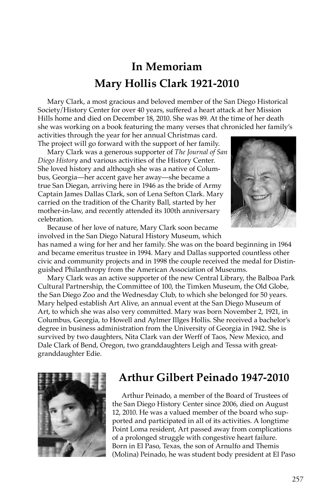## **In Memoriam Mary Hollis Clark 1921-2010**

Mary Clark, a most gracious and beloved member of the San Diego Historical Society/History Center for over 40 years, suffered a heart attack at her Mission Hills home and died on December 18, 2010. She was 89. At the time of her death she was working on a book featuring the many verses that chronicled her family's activities through the year for her annual Christmas card.

The project will go forward with the support of her family.

Mary Clark was a generous supporter of *The Journal of San Diego History* and various activities of the History Center. She loved history and although she was a native of Columbus, Georgia—her accent gave her away—she became a true San Diegan, arriving here in 1946 as the bride of Army Captain James Dallas Clark, son of Lena Sefton Clark. Mary carried on the tradition of the Charity Ball, started by her mother-in-law, and recently attended its 100th anniversary celebration.



Because of her love of nature, Mary Clark soon became involved in the San Diego Natural History Museum, which

has named a wing for her and her family. She was on the board beginning in 1964 and became emeritus trustee in 1994. Mary and Dallas supported countless other civic and community projects and in 1998 the couple received the medal for Distinguished Philanthropy from the American Association of Museums.

Mary Clark was an active supporter of the new Central Library, the Balboa Park Cultural Partnership, the Committee of 100, the Timken Museum, the Old Globe, the San Diego Zoo and the Wednesday Club, to which she belonged for 50 years. Mary helped establish Art Alive, an annual event at the San Diego Museum of Art, to which she was also very committed. Mary was born November 2, 1921, in Columbus, Georgia, to Howell and Aylmer Illges Hollis. She received a bachelor's degree in business administration from the University of Georgia in 1942. She is survived by two daughters, Nita Clark van der Werff of Taos, New Mexico, and Dale Clark of Bend, Oregon, two granddaughters Leigh and Tessa with greatgranddaughter Edie.



## **Arthur Gilbert Peinado 1947-2010**

Arthur Peinado, a member of the Board of Trustees of the San Diego History Center since 2006, died on August 12, 2010. He was a valued member of the board who supported and participated in all of its activities. A longtime Point Loma resident, Art passed away from complications of a prolonged struggle with congestive heart failure. Born in El Paso, Texas, the son of Arnulfo and Themis (Molina) Peinado, he was student body president at El Paso